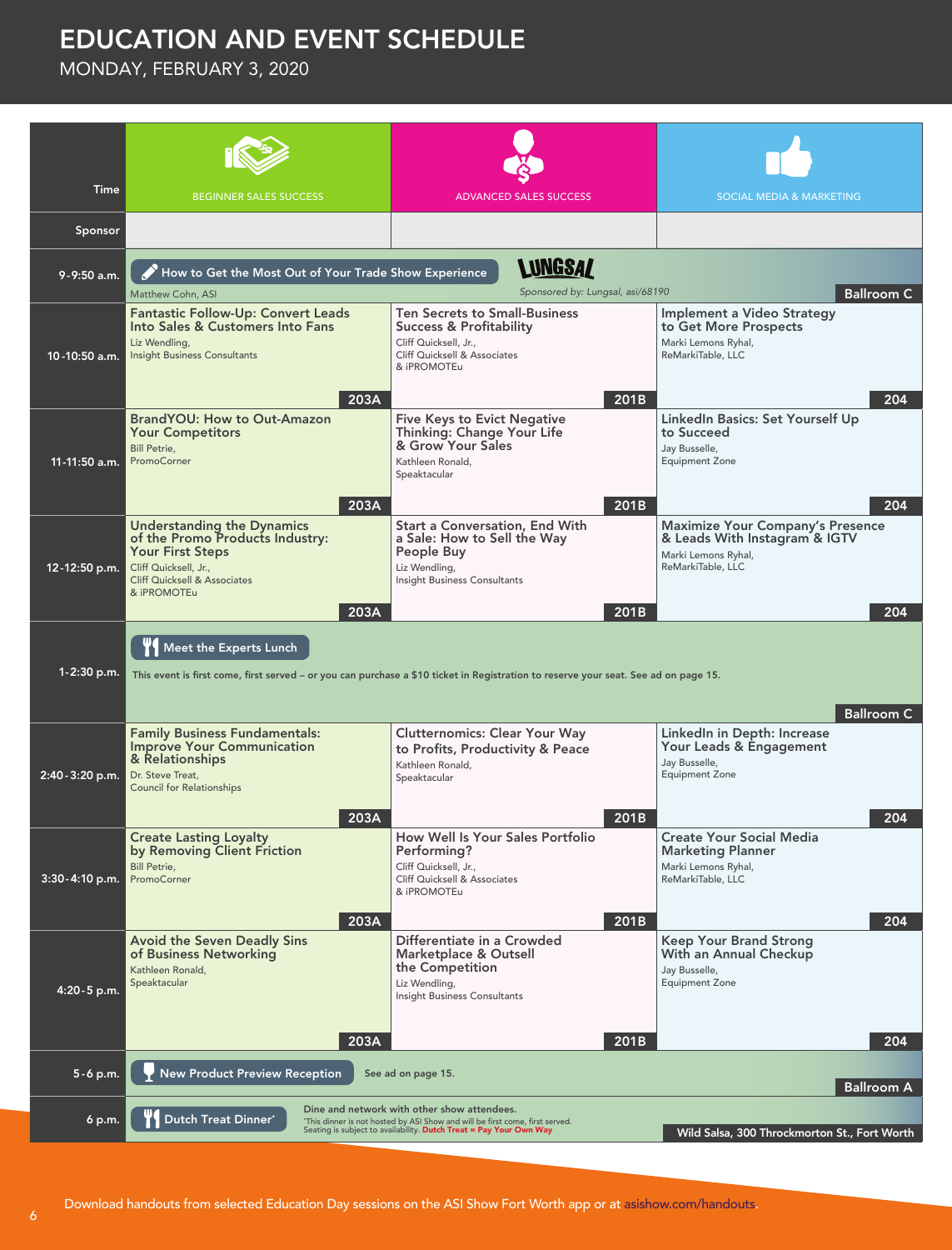## EDUCATION AND EVENT SCHEDULE

MONDAY, FEBRUARY 3, 2020

| Time             | <b>BEGINNER SALES SUCCESS</b>                                                                                                                                                       | <b>ADVANCED SALES SUCCESS</b>                                                                                                                                                                     | SOCIAL MEDIA & MARKETING                                                                                                    |  |  |  |
|------------------|-------------------------------------------------------------------------------------------------------------------------------------------------------------------------------------|---------------------------------------------------------------------------------------------------------------------------------------------------------------------------------------------------|-----------------------------------------------------------------------------------------------------------------------------|--|--|--|
| Sponsor          |                                                                                                                                                                                     |                                                                                                                                                                                                   |                                                                                                                             |  |  |  |
| 9-9:50 a.m.      | Matthew Cohn, ASI                                                                                                                                                                   | <b>LUNGSAZ</b><br>How to Get the Most Out of Your Trade Show Experience<br>Sponsored by: Lungsal, asi/68190<br><b>Ballroom C</b>                                                                  |                                                                                                                             |  |  |  |
| 10-10:50 a.m.    | <b>Fantastic Follow-Up: Convert Leads</b><br>Into Sales & Customers Into Fans<br>Liz Wendling,<br><b>Insight Business Consultants</b><br>203A                                       | <b>Ten Secrets to Small-Business</b><br>Success & Profitability<br>Cliff Quicksell, Jr.,<br>Cliff Quicksell & Associates<br>& iPROMOTEu<br>201B                                                   | Implement a Video Strategy<br>to Get More Prospects<br>Marki Lemons Ryhal,<br>ReMarkiTable, LLC<br>204                      |  |  |  |
| 11-11:50 a.m.    | <b>BrandYOU: How to Out-Amazon</b><br><b>Your Competitors</b><br><b>Bill Petrie.</b><br>PromoCorner<br>203A                                                                         | <b>Five Keys to Evict Negative</b><br>Thinking: Change Your Life<br>& Grow Your Sales<br>Kathleen Ronald,<br>Speaktacular<br>201B                                                                 | LinkedIn Basics: Set Yourself Up<br>to Succeed<br>Jay Busselle,<br><b>Equipment Zone</b><br>204                             |  |  |  |
| 12-12:50 p.m.    | Understanding the Dynamics<br>of the Promo Products Industry:<br><b>Your First Steps</b><br>Cliff Quicksell, Jr.,<br><b>Cliff Quicksell &amp; Associates</b><br>& iPROMOTEu<br>203A | <b>Start a Conversation, End With</b><br>a Sale: How to Sell the Way<br>People Buy<br>Liz Wendling,<br>Insight Business Consultants<br>201B                                                       | <b>Maximize Your Company's Presence</b><br>& Leads With Instagram & IGTV<br>Marki Lemons Ryhal,<br>ReMarkiTable, LLC<br>204 |  |  |  |
| $1 - 2:30$ p.m.  | Meet the Experts Lunch                                                                                                                                                              | This event is first come, first served – or you can purchase a \$10 ticket in Registration to reserve your seat. See ad on page 15.                                                               | <b>Ballroom C</b>                                                                                                           |  |  |  |
| 2:40 - 3:20 p.m. | <b>Family Business Fundamentals:</b><br><b>Improve Your Communication</b><br>& Relationships<br>Dr. Steve Treat,<br><b>Council for Relationships</b><br>203A                        | <b>Clutternomics: Clear Your Way</b><br>to Profits, Productivity & Peace<br>Kathleen Ronald,<br>Speaktacular<br>201B                                                                              | LinkedIn in Depth: Increase<br>Your Leads & Engagement<br>Jay Busselle,<br><b>Equipment Zone</b><br>204                     |  |  |  |
| 3:30-4:10 p.m.   | <b>Create Lasting Loyalty</b><br>by Removing Client Friction<br><b>Bill Petrie,</b><br>PromoCorner<br>203A                                                                          | How Well Is Your Sales Portfolio<br>Performing?<br>Cliff Quicksell, Jr.,<br>Cliff Quicksell & Associates<br>& iPROMOTEu<br>201B                                                                   | <b>Create Your Social Media</b><br><b>Marketing Planner</b><br>Marki Lemons Ryhal,<br>ReMarkiTable, LLC<br>204              |  |  |  |
| 4:20 - 5 p.m.    | <b>Avoid the Seven Deadly Sins</b><br>of Business Networking<br>Kathleen Ronald,<br>Speaktacular<br>203A                                                                            | Differentiate in a Crowded<br>Marketplace & Outsell<br>the Competition<br>Liz Wendling,<br>Insight Business Consultants<br>201B                                                                   | Keep Your Brand Strong<br>With an Annual Checkup<br>Jay Busselle,<br><b>Equipment Zone</b><br>204                           |  |  |  |
| $5 - 6$ p.m.     | <b>New Product Preview Reception</b>                                                                                                                                                | See ad on page 15.                                                                                                                                                                                | <b>Ballroom A</b>                                                                                                           |  |  |  |
| 6 p.m.           | Dutch Treat Dinner*                                                                                                                                                                 | Dine and network with other show attendees.<br>"This dinner is not hosted by ASI Show and will be first come, first served.<br>Seating is subject to availability. Dutch Treat = Pay Your Own Way | Wild Salsa, 300 Throckmorton St., Fort Worth                                                                                |  |  |  |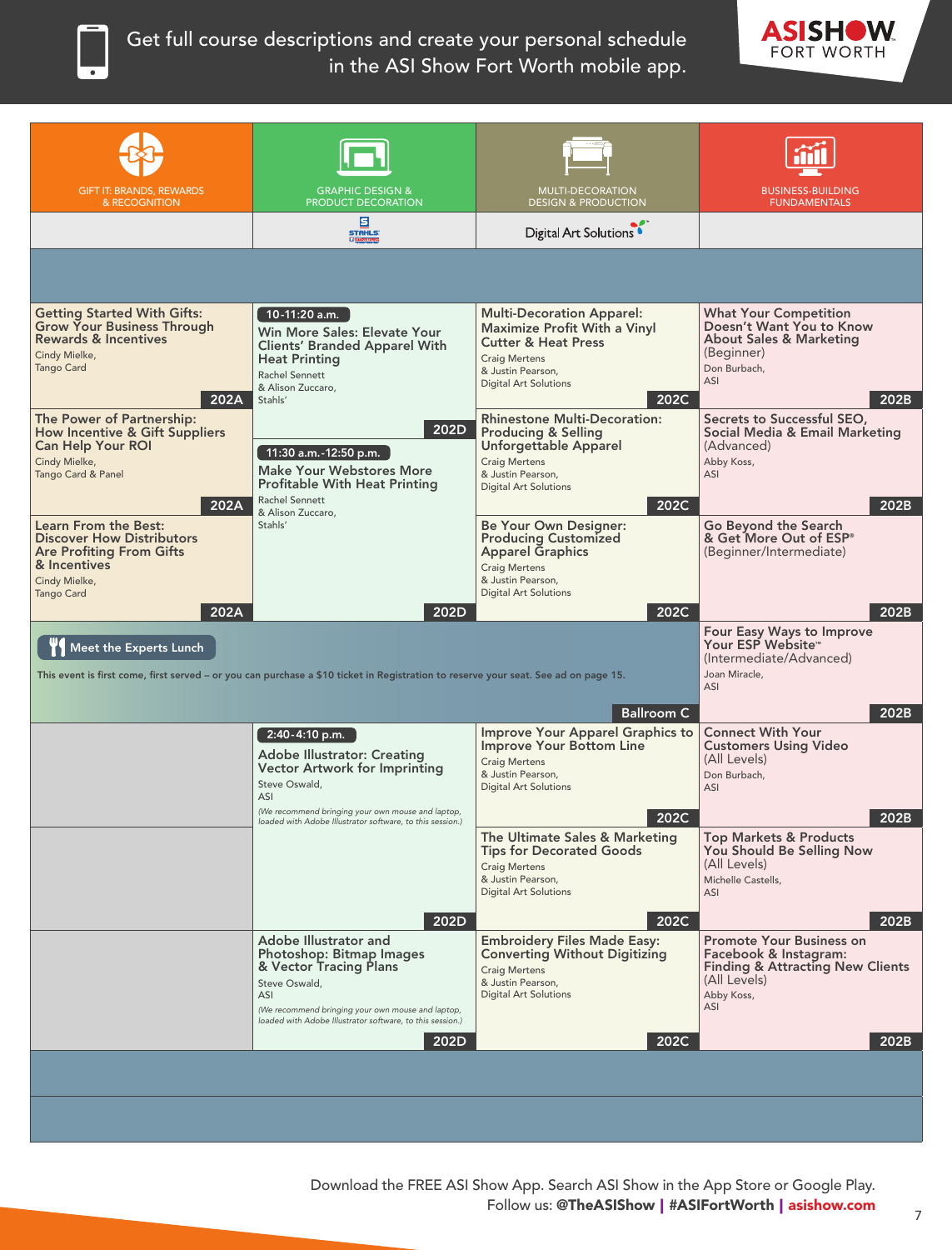Get full course descriptions and create your personal schedule in the ASI Show Fort Worth mobile app.



| <b>GIFT IT: BRANDS, REWARDS</b>                                                                                                                           | <b>GRAPHIC DESIGN &amp;</b>                                                                                                                                                                                           | <b>MULTI-DECORATION</b>                                                                                                                                                                 | <b>BUSINESS-BUILDING</b>                                                                                                                     |
|-----------------------------------------------------------------------------------------------------------------------------------------------------------|-----------------------------------------------------------------------------------------------------------------------------------------------------------------------------------------------------------------------|-----------------------------------------------------------------------------------------------------------------------------------------------------------------------------------------|----------------------------------------------------------------------------------------------------------------------------------------------|
| & RECOGNITION                                                                                                                                             | PRODUCT DECORATION                                                                                                                                                                                                    | <b>DESIGN &amp; PRODUCTION</b>                                                                                                                                                          | <b>FUNDAMENTALS</b>                                                                                                                          |
|                                                                                                                                                           | 固<br><b>STAHLS:</b><br><b>ET RANSER D</b>                                                                                                                                                                             | Digital Art Solutions <sup>®</sup>                                                                                                                                                      |                                                                                                                                              |
|                                                                                                                                                           |                                                                                                                                                                                                                       |                                                                                                                                                                                         |                                                                                                                                              |
| <b>Getting Started With Gifts:</b><br>Grow Your Business Through<br>Rewards & Incentives<br>Cindy Mielke,<br><b>Tango Card</b><br>202A                    | 10-11:20 a.m.<br>Win More Sales: Elevate Your<br><b>Clients' Branded Apparel With</b><br><b>Heat Printing</b><br>Rachel Sennett<br>& Alison Zuccaro,<br>Stahls'                                                       | <b>Multi-Decoration Apparel:</b><br>Maximize Profit With a Vinyl<br><b>Cutter &amp; Heat Press</b><br><b>Craig Mertens</b><br>& Justin Pearson,<br><b>Digital Art Solutions</b><br>202C | <b>What Your Competition</b><br>Doesn't Want You to Know<br><b>About Sales &amp; Marketing</b><br>(Beginner)<br>Don Burbach,<br>ASI<br>202B  |
| The Power of Partnership:<br><b>How Incentive &amp; Gift Suppliers</b><br><b>Can Help Your ROI</b><br>Cindy Mielke,<br>Tango Card & Panel<br>202A         | 202D<br>11:30 a.m.-12:50 p.m.<br><b>Make Your Webstores More</b><br><b>Profitable With Heat Printing</b><br>Rachel Sennett<br>& Alison Zuccaro.                                                                       | <b>Rhinestone Multi-Decoration:</b><br><b>Producing &amp; Selling</b><br>Unforgettable Apparel<br><b>Craig Mertens</b><br>& Justin Pearson,<br><b>Digital Art Solutions</b><br>202C     | Secrets to Successful SEO,<br>Social Media & Email Marketing<br>(Advanced)<br>Abby Koss,<br>ASI<br>202B                                      |
| Learn From the Best:<br><b>Discover How Distributors</b><br><b>Are Profiting From Gifts</b><br>& Incentives<br>Cindy Mielke,<br><b>Tango Card</b><br>202A | Stahls'<br>202D                                                                                                                                                                                                       | Be Your Own Designer:<br><b>Producing Customized</b><br><b>Apparel Graphics</b><br><b>Craig Mertens</b><br>& Justin Pearson,<br><b>Digital Art Solutions</b><br>202C                    | Go Beyond the Search<br>& Get More Out of ESP <sup>®</sup><br>(Beginner/Intermediate)<br>202B                                                |
| Meet the Experts Lunch                                                                                                                                    | This event is first come, first served – or you can purchase a \$10 ticket in Registration to reserve your seat. See ad on page 15.                                                                                   |                                                                                                                                                                                         | Four Easy Ways to Improve<br>Your ESP Website™<br>(Intermediate/Advanced)<br>Joan Miracle,<br>ASI                                            |
|                                                                                                                                                           |                                                                                                                                                                                                                       | <b>Ballroom C</b>                                                                                                                                                                       | 202B                                                                                                                                         |
|                                                                                                                                                           | 2:40-4:10 p.m.<br><b>Adobe Illustrator: Creating</b><br><b>Vector Artwork for Imprinting</b><br>Steve Oswald,<br>ASI<br>(We recommend bringing your own mouse and laptop,                                             | Improve Your Apparel Graphics to<br><b>Improve Your Bottom Line</b><br><b>Craig Mertens</b><br>& Justin Pearson,<br><b>Digital Art Solutions</b>                                        | <b>Connect With Your</b><br><b>Customers Using Video</b><br>(All Levels)<br>Don Burbach,<br>ASI                                              |
|                                                                                                                                                           | loaded with Adobe Illustrator software, to this session.)                                                                                                                                                             | 202C                                                                                                                                                                                    | 202B                                                                                                                                         |
|                                                                                                                                                           |                                                                                                                                                                                                                       | The Ultimate Sales & Marketing<br>Tips for Decorated Goods<br><b>Craig Mertens</b><br>& Justin Pearson,<br><b>Digital Art Solutions</b>                                                 | Top Markets & Products<br>You Should Be Selling Now<br>(All Levels)<br>Michelle Castells,<br>ASI                                             |
|                                                                                                                                                           | 202D                                                                                                                                                                                                                  | 202C                                                                                                                                                                                    | 202B                                                                                                                                         |
|                                                                                                                                                           | Adobe Illustrator and<br>Photoshop: Bitmap Images<br>& Vector Tracing Plans<br>Steve Oswald,<br>ASI<br>(We recommend bringing your own mouse and laptop,<br>loaded with Adobe Illustrator software, to this session.) | <b>Embroidery Files Made Easy:</b><br><b>Converting Without Digitizing</b><br><b>Craig Mertens</b><br>& Justin Pearson,<br><b>Digital Art Solutions</b>                                 | <b>Promote Your Business on</b><br>Facebook & Instagram:<br><b>Finding &amp; Attracting New Clients</b><br>(All Levels)<br>Abby Koss,<br>ASI |
|                                                                                                                                                           | 202D                                                                                                                                                                                                                  | 202C                                                                                                                                                                                    | 202B                                                                                                                                         |
|                                                                                                                                                           |                                                                                                                                                                                                                       |                                                                                                                                                                                         |                                                                                                                                              |
|                                                                                                                                                           |                                                                                                                                                                                                                       |                                                                                                                                                                                         |                                                                                                                                              |
|                                                                                                                                                           |                                                                                                                                                                                                                       |                                                                                                                                                                                         |                                                                                                                                              |

Download the FREE ASI Show App. Search ASI Show in the App Store or Google Play. Follow us: @TheASIShow | #ASIFortWorth | asishow.com